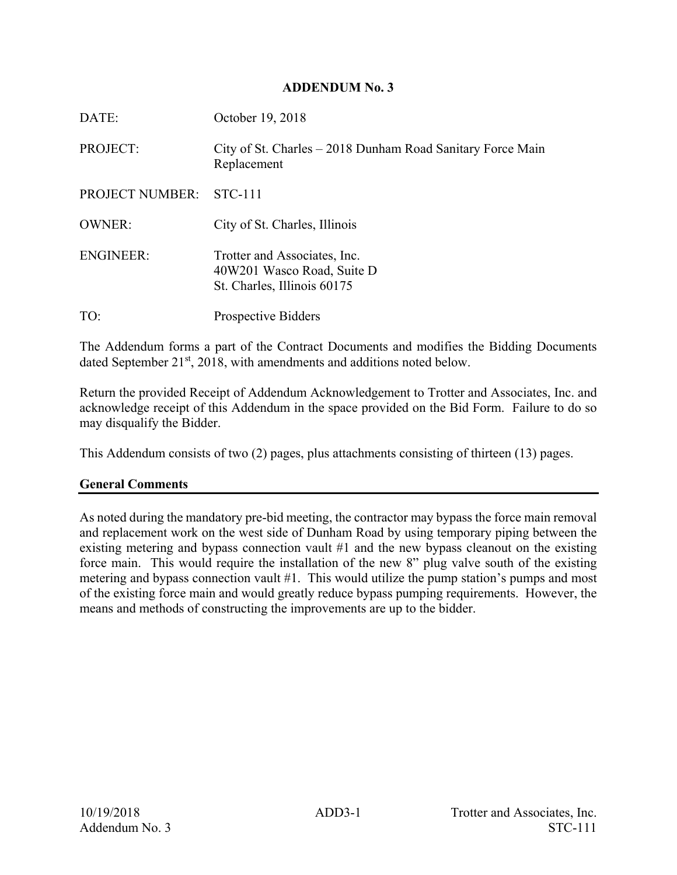## **ADDENDUM No. 3**

| DATE:                  | October 19, 2018                                                                          |
|------------------------|-------------------------------------------------------------------------------------------|
| PROJECT:               | City of St. Charles – 2018 Dunham Road Sanitary Force Main<br>Replacement                 |
| <b>PROJECT NUMBER:</b> | STC-111                                                                                   |
| <b>OWNER:</b>          | City of St. Charles, Illinois                                                             |
| <b>ENGINEER:</b>       | Trotter and Associates, Inc.<br>40W201 Wasco Road, Suite D<br>St. Charles, Illinois 60175 |
| TO:                    | <b>Prospective Bidders</b>                                                                |

The Addendum forms a part of the Contract Documents and modifies the Bidding Documents dated September 21<sup>st</sup>, 2018, with amendments and additions noted below.

Return the provided Receipt of Addendum Acknowledgement to Trotter and Associates, Inc. and acknowledge receipt of this Addendum in the space provided on the Bid Form. Failure to do so may disqualify the Bidder.

This Addendum consists of two (2) pages, plus attachments consisting of thirteen (13) pages.

## **General Comments**

As noted during the mandatory pre-bid meeting, the contractor may bypass the force main removal and replacement work on the west side of Dunham Road by using temporary piping between the existing metering and bypass connection vault #1 and the new bypass cleanout on the existing force main. This would require the installation of the new 8" plug valve south of the existing metering and bypass connection vault #1. This would utilize the pump station's pumps and most of the existing force main and would greatly reduce bypass pumping requirements. However, the means and methods of constructing the improvements are up to the bidder.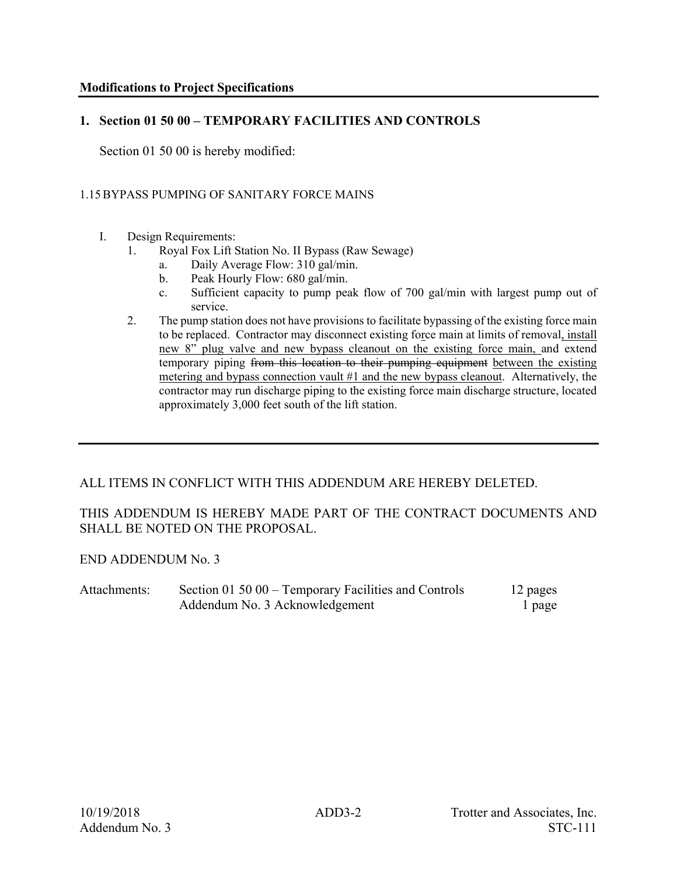## **1. Section 01 50 00 – TEMPORARY FACILITIES AND CONTROLS**

Section 01 50 00 is hereby modified:

## 1.15BYPASS PUMPING OF SANITARY FORCE MAINS

- I. Design Requirements:
	- 1. Royal Fox Lift Station No. II Bypass (Raw Sewage)
		- a. Daily Average Flow: 310 gal/min.
		- b. Peak Hourly Flow: 680 gal/min.
		- c. Sufficient capacity to pump peak flow of 700 gal/min with largest pump out of service.
	- 2. The pump station does not have provisions to facilitate bypassing of the existing force main to be replaced. Contractor may disconnect existing force main at limits of removal, install new 8" plug valve and new bypass cleanout on the existing force main, and extend temporary piping from this location to their pumping equipment between the existing metering and bypass connection vault #1 and the new bypass cleanout. Alternatively, the contractor may run discharge piping to the existing force main discharge structure, located approximately 3,000 feet south of the lift station.

## ALL ITEMS IN CONFLICT WITH THIS ADDENDUM ARE HEREBY DELETED.

## THIS ADDENDUM IS HEREBY MADE PART OF THE CONTRACT DOCUMENTS AND SHALL BE NOTED ON THE PROPOSAL.

## END ADDENDUM No. 3

| Attachments: | Section 01 50 00 – Temporary Facilities and Controls | 12 pages |
|--------------|------------------------------------------------------|----------|
|              | Addendum No. 3 Acknowledgement                       | 1 page   |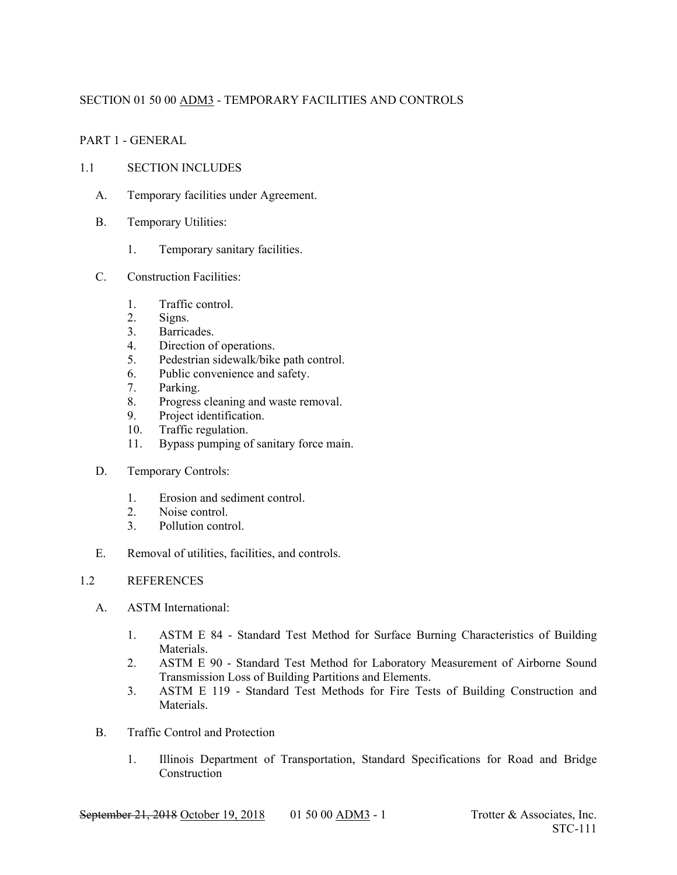## SECTION 01 50 00 ADM3 - TEMPORARY FACILITIES AND CONTROLS

### PART 1 - GENERAL

- 1.1 SECTION INCLUDES
	- A. Temporary facilities under Agreement.
	- B. Temporary Utilities:
		- 1. Temporary sanitary facilities.
	- C. Construction Facilities:
		- 1. Traffic control.
		- 2. Signs.
		- 3. Barricades.
		- 4. Direction of operations.
		- 5. Pedestrian sidewalk/bike path control.
		- 6. Public convenience and safety.
		- 7. Parking.
		- 8. Progress cleaning and waste removal.
		- 9. Project identification.
		- 10. Traffic regulation.
		- 11. Bypass pumping of sanitary force main.
	- D. Temporary Controls:
		- 1. Erosion and sediment control.
		- 2. Noise control.
		- 3. Pollution control.
	- E. Removal of utilities, facilities, and controls.

#### 1.2 REFERENCES

- A. ASTM International:
	- 1. ASTM E 84 Standard Test Method for Surface Burning Characteristics of Building Materials.
	- 2. ASTM E 90 Standard Test Method for Laboratory Measurement of Airborne Sound Transmission Loss of Building Partitions and Elements.
	- 3. ASTM E 119 Standard Test Methods for Fire Tests of Building Construction and Materials.
- B. Traffic Control and Protection
	- 1. Illinois Department of Transportation, Standard Specifications for Road and Bridge Construction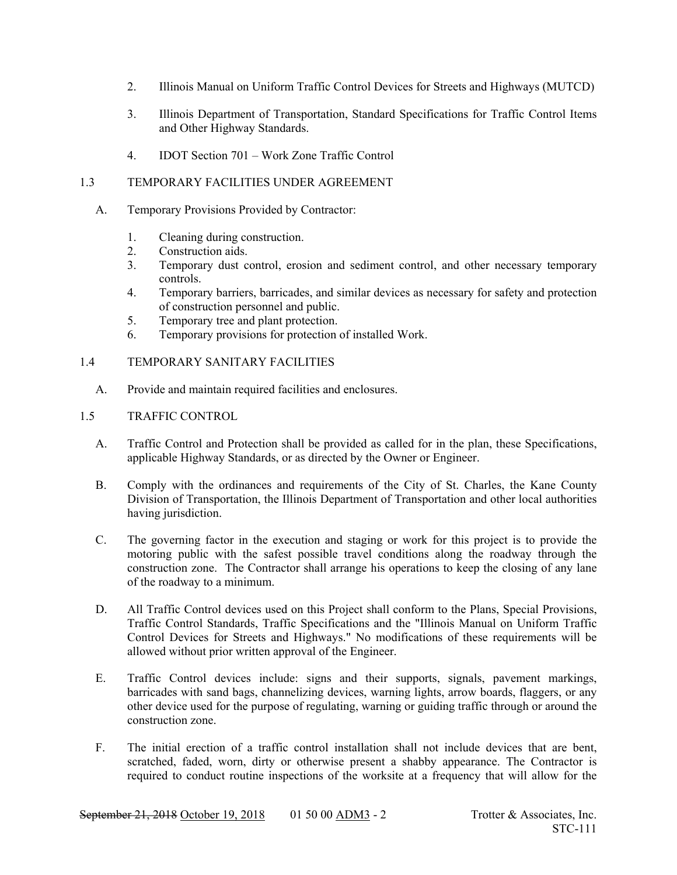- 2. Illinois Manual on Uniform Traffic Control Devices for Streets and Highways (MUTCD)
- 3. Illinois Department of Transportation, Standard Specifications for Traffic Control Items and Other Highway Standards.
- 4. IDOT Section 701 Work Zone Traffic Control

## 1.3 TEMPORARY FACILITIES UNDER AGREEMENT

- A. Temporary Provisions Provided by Contractor:
	- 1. Cleaning during construction.
	- 2. Construction aids.
	- 3. Temporary dust control, erosion and sediment control, and other necessary temporary controls.
	- 4. Temporary barriers, barricades, and similar devices as necessary for safety and protection of construction personnel and public.
	- 5. Temporary tree and plant protection.
	- 6. Temporary provisions for protection of installed Work.

#### 1.4 TEMPORARY SANITARY FACILITIES

- A. Provide and maintain required facilities and enclosures.
- 1.5 TRAFFIC CONTROL
	- A. Traffic Control and Protection shall be provided as called for in the plan, these Specifications, applicable Highway Standards, or as directed by the Owner or Engineer.
	- B. Comply with the ordinances and requirements of the City of St. Charles, the Kane County Division of Transportation, the Illinois Department of Transportation and other local authorities having jurisdiction.
	- C. The governing factor in the execution and staging or work for this project is to provide the motoring public with the safest possible travel conditions along the roadway through the construction zone. The Contractor shall arrange his operations to keep the closing of any lane of the roadway to a minimum.
	- D. All Traffic Control devices used on this Project shall conform to the Plans, Special Provisions, Traffic Control Standards, Traffic Specifications and the "Illinois Manual on Uniform Traffic Control Devices for Streets and Highways." No modifications of these requirements will be allowed without prior written approval of the Engineer.
	- E. Traffic Control devices include: signs and their supports, signals, pavement markings, barricades with sand bags, channelizing devices, warning lights, arrow boards, flaggers, or any other device used for the purpose of regulating, warning or guiding traffic through or around the construction zone.
	- F. The initial erection of a traffic control installation shall not include devices that are bent, scratched, faded, worn, dirty or otherwise present a shabby appearance. The Contractor is required to conduct routine inspections of the worksite at a frequency that will allow for the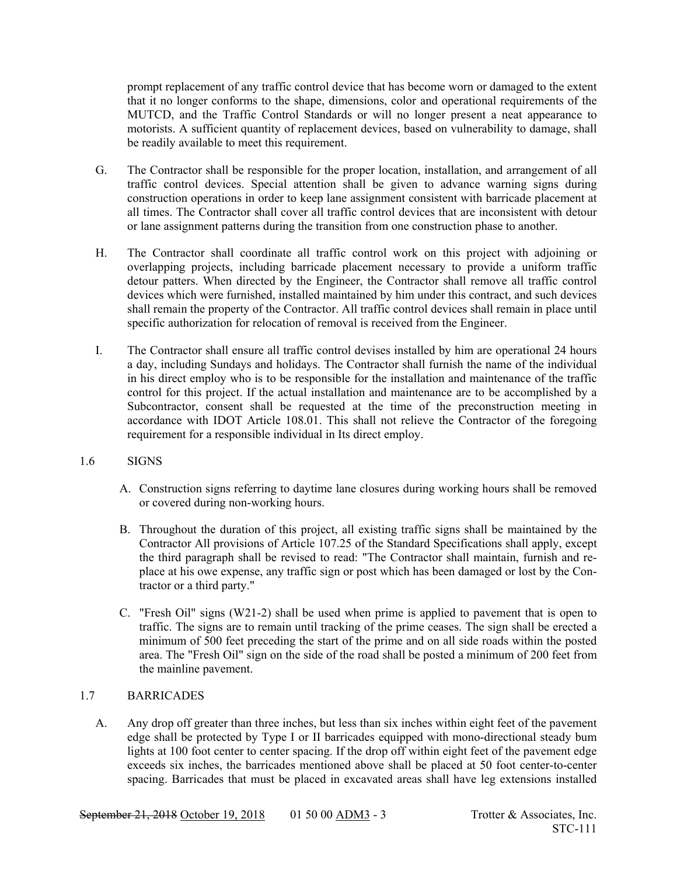prompt replacement of any traffic control device that has become worn or damaged to the extent that it no longer conforms to the shape, dimensions, color and operational requirements of the MUTCD, and the Traffic Control Standards or will no longer present a neat appearance to motorists. A sufficient quantity of replacement devices, based on vulnerability to damage, shall be readily available to meet this requirement.

- G. The Contractor shall be responsible for the proper location, installation, and arrangement of all traffic control devices. Special attention shall be given to advance warning signs during construction operations in order to keep lane assignment consistent with barricade placement at all times. The Contractor shall cover all traffic control devices that are inconsistent with detour or lane assignment patterns during the transition from one construction phase to another.
- H. The Contractor shall coordinate all traffic control work on this project with adjoining or overlapping projects, including barricade placement necessary to provide a uniform traffic detour patters. When directed by the Engineer, the Contractor shall remove all traffic control devices which were furnished, installed maintained by him under this contract, and such devices shall remain the property of the Contractor. All traffic control devices shall remain in place until specific authorization for relocation of removal is received from the Engineer.
- I. The Contractor shall ensure all traffic control devises installed by him are operational 24 hours a day, including Sundays and holidays. The Contractor shall furnish the name of the individual in his direct employ who is to be responsible for the installation and maintenance of the traffic control for this project. If the actual installation and maintenance are to be accomplished by a Subcontractor, consent shall be requested at the time of the preconstruction meeting in accordance with IDOT Article 108.01. This shall not relieve the Contractor of the foregoing requirement for a responsible individual in Its direct employ.

#### 1.6 SIGNS

- A. Construction signs referring to daytime lane closures during working hours shall be removed or covered during non-working hours.
- B. Throughout the duration of this project, all existing traffic signs shall be maintained by the Contractor All provisions of Article 107.25 of the Standard Specifications shall apply, except the third paragraph shall be revised to read: "The Contractor shall maintain, furnish and replace at his owe expense, any traffic sign or post which has been damaged or lost by the Contractor or a third party."
- C. "Fresh Oil" signs (W21-2) shall be used when prime is applied to pavement that is open to traffic. The signs are to remain until tracking of the prime ceases. The sign shall be erected a minimum of 500 feet preceding the start of the prime and on all side roads within the posted area. The "Fresh Oil" sign on the side of the road shall be posted a minimum of 200 feet from the mainline pavement.

## 1.7 BARRICADES

A. Any drop off greater than three inches, but less than six inches within eight feet of the pavement edge shall be protected by Type I or II barricades equipped with mono-directional steady bum lights at 100 foot center to center spacing. If the drop off within eight feet of the pavement edge exceeds six inches, the barricades mentioned above shall be placed at 50 foot center-to-center spacing. Barricades that must be placed in excavated areas shall have leg extensions installed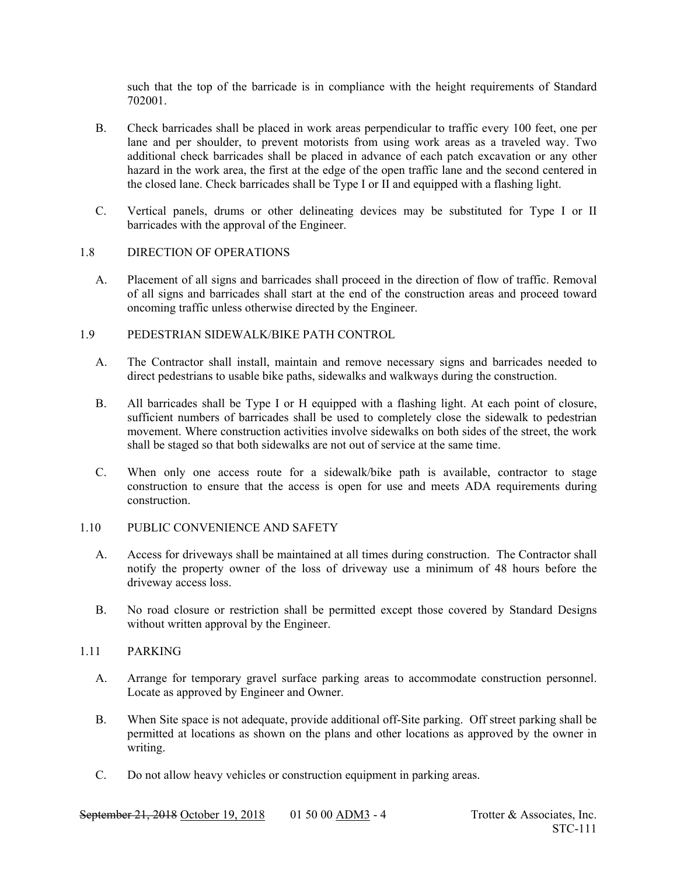such that the top of the barricade is in compliance with the height requirements of Standard 702001.

- B. Check barricades shall be placed in work areas perpendicular to traffic every 100 feet, one per lane and per shoulder, to prevent motorists from using work areas as a traveled way. Two additional check barricades shall be placed in advance of each patch excavation or any other hazard in the work area, the first at the edge of the open traffic lane and the second centered in the closed lane. Check barricades shall be Type I or II and equipped with a flashing light.
- C. Vertical panels, drums or other delineating devices may be substituted for Type I or II barricades with the approval of the Engineer.

#### 1.8 DIRECTION OF OPERATIONS

A. Placement of all signs and barricades shall proceed in the direction of flow of traffic. Removal of all signs and barricades shall start at the end of the construction areas and proceed toward oncoming traffic unless otherwise directed by the Engineer.

#### 1.9 PEDESTRIAN SIDEWALK/BIKE PATH CONTROL

- A. The Contractor shall install, maintain and remove necessary signs and barricades needed to direct pedestrians to usable bike paths, sidewalks and walkways during the construction.
- B. All barricades shall be Type I or H equipped with a flashing light. At each point of closure, sufficient numbers of barricades shall be used to completely close the sidewalk to pedestrian movement. Where construction activities involve sidewalks on both sides of the street, the work shall be staged so that both sidewalks are not out of service at the same time.
- C. When only one access route for a sidewalk/bike path is available, contractor to stage construction to ensure that the access is open for use and meets ADA requirements during construction.

#### 1.10 PUBLIC CONVENIENCE AND SAFETY

- A. Access for driveways shall be maintained at all times during construction. The Contractor shall notify the property owner of the loss of driveway use a minimum of 48 hours before the driveway access loss.
- B. No road closure or restriction shall be permitted except those covered by Standard Designs without written approval by the Engineer.

#### 1.11 PARKING

- A. Arrange for temporary gravel surface parking areas to accommodate construction personnel. Locate as approved by Engineer and Owner.
- B. When Site space is not adequate, provide additional off-Site parking. Off street parking shall be permitted at locations as shown on the plans and other locations as approved by the owner in writing.
- C. Do not allow heavy vehicles or construction equipment in parking areas.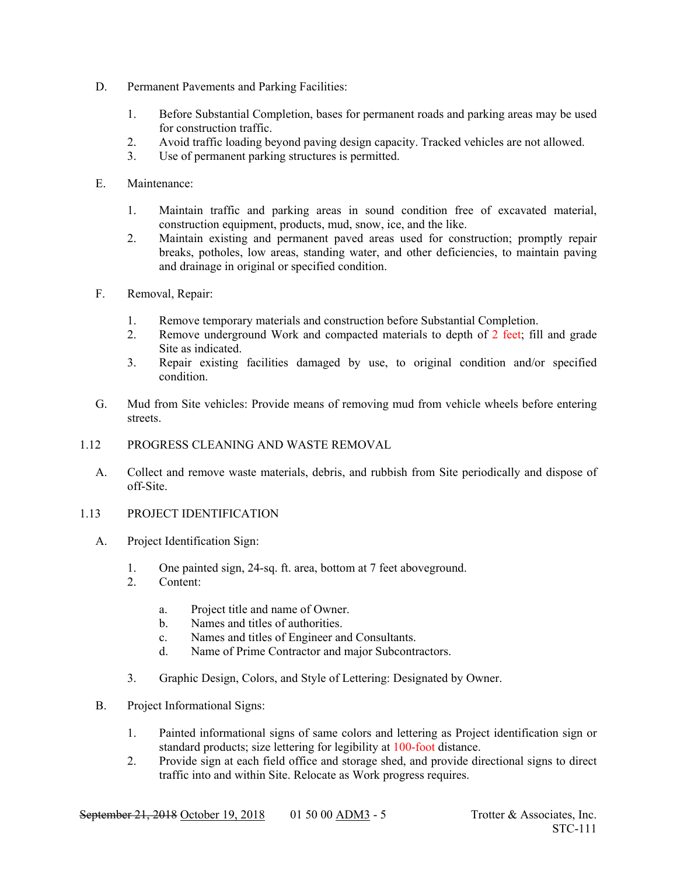- D. Permanent Pavements and Parking Facilities:
	- 1. Before Substantial Completion, bases for permanent roads and parking areas may be used for construction traffic.
	- 2. Avoid traffic loading beyond paving design capacity. Tracked vehicles are not allowed.
	- 3. Use of permanent parking structures is permitted.
- E. Maintenance:
	- 1. Maintain traffic and parking areas in sound condition free of excavated material, construction equipment, products, mud, snow, ice, and the like.
	- 2. Maintain existing and permanent paved areas used for construction; promptly repair breaks, potholes, low areas, standing water, and other deficiencies, to maintain paving and drainage in original or specified condition.
- F. Removal, Repair:
	- 1. Remove temporary materials and construction before Substantial Completion.
	- 2. Remove underground Work and compacted materials to depth of 2 feet; fill and grade Site as indicated.
	- 3. Repair existing facilities damaged by use, to original condition and/or specified condition.
- G. Mud from Site vehicles: Provide means of removing mud from vehicle wheels before entering streets.

#### 1.12 PROGRESS CLEANING AND WASTE REMOVAL

- A. Collect and remove waste materials, debris, and rubbish from Site periodically and dispose of off-Site.
- 1.13 PROJECT IDENTIFICATION
	- A. Project Identification Sign:
		- 1. One painted sign, 24-sq. ft. area, bottom at 7 feet aboveground.
		- 2. Content:
			- a. Project title and name of Owner.
			- b. Names and titles of authorities.
			- c. Names and titles of Engineer and Consultants.
			- d. Name of Prime Contractor and major Subcontractors.
		- 3. Graphic Design, Colors, and Style of Lettering: Designated by Owner.
	- B. Project Informational Signs:
		- 1. Painted informational signs of same colors and lettering as Project identification sign or standard products; size lettering for legibility at 100-foot distance.
		- 2. Provide sign at each field office and storage shed, and provide directional signs to direct traffic into and within Site. Relocate as Work progress requires.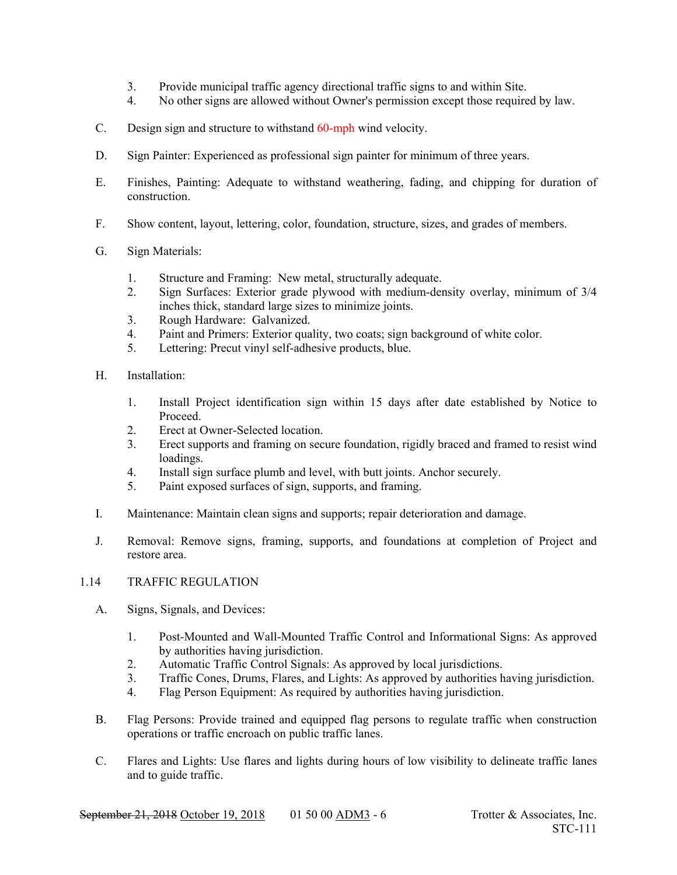- 3. Provide municipal traffic agency directional traffic signs to and within Site.
- 4. No other signs are allowed without Owner's permission except those required by law.
- C. Design sign and structure to withstand 60-mph wind velocity.
- D. Sign Painter: Experienced as professional sign painter for minimum of three years.
- E. Finishes, Painting: Adequate to withstand weathering, fading, and chipping for duration of construction.
- F. Show content, layout, lettering, color, foundation, structure, sizes, and grades of members.
- G. Sign Materials:
	- 1. Structure and Framing: New metal, structurally adequate.
	- 2. Sign Surfaces: Exterior grade plywood with medium-density overlay, minimum of 3/4 inches thick, standard large sizes to minimize joints.
	- 3. Rough Hardware: Galvanized.
	- 4. Paint and Primers: Exterior quality, two coats; sign background of white color.
	- 5. Lettering: Precut vinyl self-adhesive products, blue.
- H. Installation:
	- 1. Install Project identification sign within 15 days after date established by Notice to Proceed.
	- 2. Erect at Owner-Selected location.
	- 3. Erect supports and framing on secure foundation, rigidly braced and framed to resist wind loadings.
	- 4. Install sign surface plumb and level, with butt joints. Anchor securely.
	- 5. Paint exposed surfaces of sign, supports, and framing.
- I. Maintenance: Maintain clean signs and supports; repair deterioration and damage.
- J. Removal: Remove signs, framing, supports, and foundations at completion of Project and restore area.

#### 1.14 TRAFFIC REGULATION

- A. Signs, Signals, and Devices:
	- 1. Post-Mounted and Wall-Mounted Traffic Control and Informational Signs: As approved by authorities having jurisdiction.
	- 2. Automatic Traffic Control Signals: As approved by local jurisdictions.
	- 3. Traffic Cones, Drums, Flares, and Lights: As approved by authorities having jurisdiction.
	- 4. Flag Person Equipment: As required by authorities having jurisdiction.
- B. Flag Persons: Provide trained and equipped flag persons to regulate traffic when construction operations or traffic encroach on public traffic lanes.
- C. Flares and Lights: Use flares and lights during hours of low visibility to delineate traffic lanes and to guide traffic.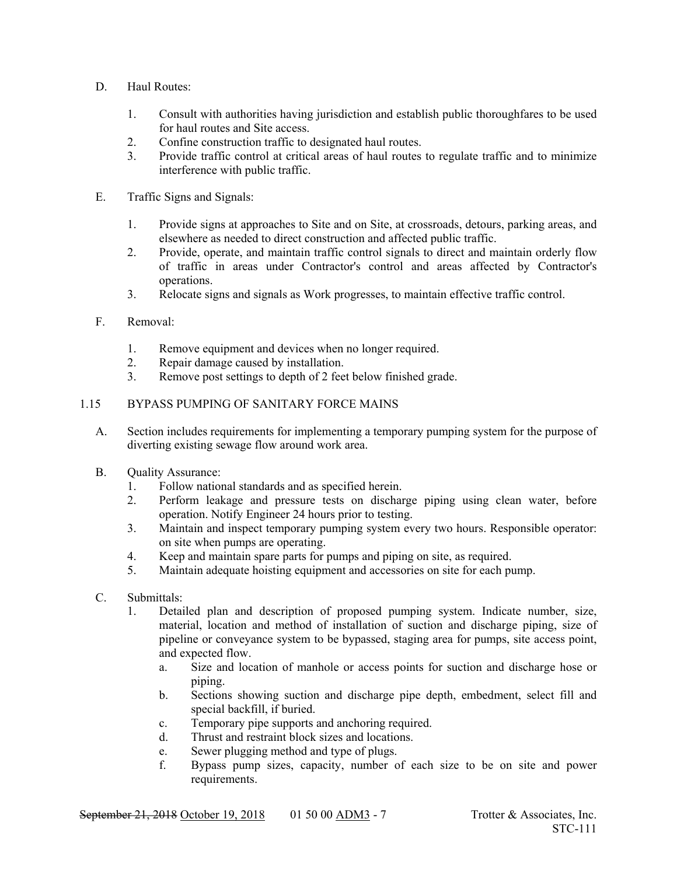- D. Haul Routes:
	- 1. Consult with authorities having jurisdiction and establish public thoroughfares to be used for haul routes and Site access.
	- 2. Confine construction traffic to designated haul routes.
	- 3. Provide traffic control at critical areas of haul routes to regulate traffic and to minimize interference with public traffic.
- E. Traffic Signs and Signals:
	- 1. Provide signs at approaches to Site and on Site, at crossroads, detours, parking areas, and elsewhere as needed to direct construction and affected public traffic.
	- 2. Provide, operate, and maintain traffic control signals to direct and maintain orderly flow of traffic in areas under Contractor's control and areas affected by Contractor's operations.
	- 3. Relocate signs and signals as Work progresses, to maintain effective traffic control.
- F. Removal:
	- 1. Remove equipment and devices when no longer required.
	- 2. Repair damage caused by installation.
	- 3. Remove post settings to depth of 2 feet below finished grade.

#### 1.15 BYPASS PUMPING OF SANITARY FORCE MAINS

- A. Section includes requirements for implementing a temporary pumping system for the purpose of diverting existing sewage flow around work area.
- B. Quality Assurance:
	- 1. Follow national standards and as specified herein.
	- 2. Perform leakage and pressure tests on discharge piping using clean water, before operation. Notify Engineer 24 hours prior to testing.
	- 3. Maintain and inspect temporary pumping system every two hours. Responsible operator: on site when pumps are operating.
	- 4. Keep and maintain spare parts for pumps and piping on site, as required.
	- 5. Maintain adequate hoisting equipment and accessories on site for each pump.
- C. Submittals:
	- 1. Detailed plan and description of proposed pumping system. Indicate number, size, material, location and method of installation of suction and discharge piping, size of pipeline or conveyance system to be bypassed, staging area for pumps, site access point, and expected flow.
		- a. Size and location of manhole or access points for suction and discharge hose or piping.
		- b. Sections showing suction and discharge pipe depth, embedment, select fill and special backfill, if buried.
		- c. Temporary pipe supports and anchoring required.
		- d. Thrust and restraint block sizes and locations.
		- e. Sewer plugging method and type of plugs.
		- f. Bypass pump sizes, capacity, number of each size to be on site and power requirements.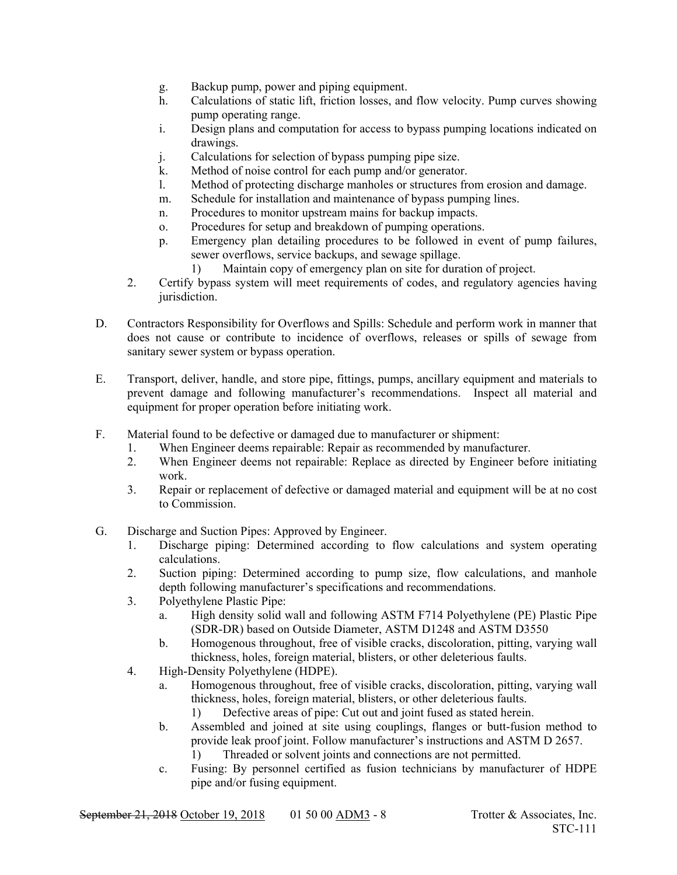- g. Backup pump, power and piping equipment.
- h. Calculations of static lift, friction losses, and flow velocity. Pump curves showing pump operating range.
- i. Design plans and computation for access to bypass pumping locations indicated on drawings.
- j. Calculations for selection of bypass pumping pipe size.
- k. Method of noise control for each pump and/or generator.
- l. Method of protecting discharge manholes or structures from erosion and damage.
- m. Schedule for installation and maintenance of bypass pumping lines.
- n. Procedures to monitor upstream mains for backup impacts.
- o. Procedures for setup and breakdown of pumping operations.
- p. Emergency plan detailing procedures to be followed in event of pump failures, sewer overflows, service backups, and sewage spillage.
	- 1) Maintain copy of emergency plan on site for duration of project.
- 2. Certify bypass system will meet requirements of codes, and regulatory agencies having jurisdiction.
- D. Contractors Responsibility for Overflows and Spills: Schedule and perform work in manner that does not cause or contribute to incidence of overflows, releases or spills of sewage from sanitary sewer system or bypass operation.
- E. Transport, deliver, handle, and store pipe, fittings, pumps, ancillary equipment and materials to prevent damage and following manufacturer's recommendations. Inspect all material and equipment for proper operation before initiating work.
- F. Material found to be defective or damaged due to manufacturer or shipment:
	- 1. When Engineer deems repairable: Repair as recommended by manufacturer.
	- 2. When Engineer deems not repairable: Replace as directed by Engineer before initiating work.
	- 3. Repair or replacement of defective or damaged material and equipment will be at no cost to Commission.
- G. Discharge and Suction Pipes: Approved by Engineer.
	- 1. Discharge piping: Determined according to flow calculations and system operating calculations.
	- 2. Suction piping: Determined according to pump size, flow calculations, and manhole depth following manufacturer's specifications and recommendations.
	- 3. Polyethylene Plastic Pipe:
		- a. High density solid wall and following ASTM F714 Polyethylene (PE) Plastic Pipe (SDR-DR) based on Outside Diameter, ASTM D1248 and ASTM D3550
		- b. Homogenous throughout, free of visible cracks, discoloration, pitting, varying wall thickness, holes, foreign material, blisters, or other deleterious faults.
	- 4. High-Density Polyethylene (HDPE).
		- a. Homogenous throughout, free of visible cracks, discoloration, pitting, varying wall thickness, holes, foreign material, blisters, or other deleterious faults.
			- 1) Defective areas of pipe: Cut out and joint fused as stated herein.
		- b. Assembled and joined at site using couplings, flanges or butt-fusion method to provide leak proof joint. Follow manufacturer's instructions and ASTM D 2657.
			- 1) Threaded or solvent joints and connections are not permitted.
		- c. Fusing: By personnel certified as fusion technicians by manufacturer of HDPE pipe and/or fusing equipment.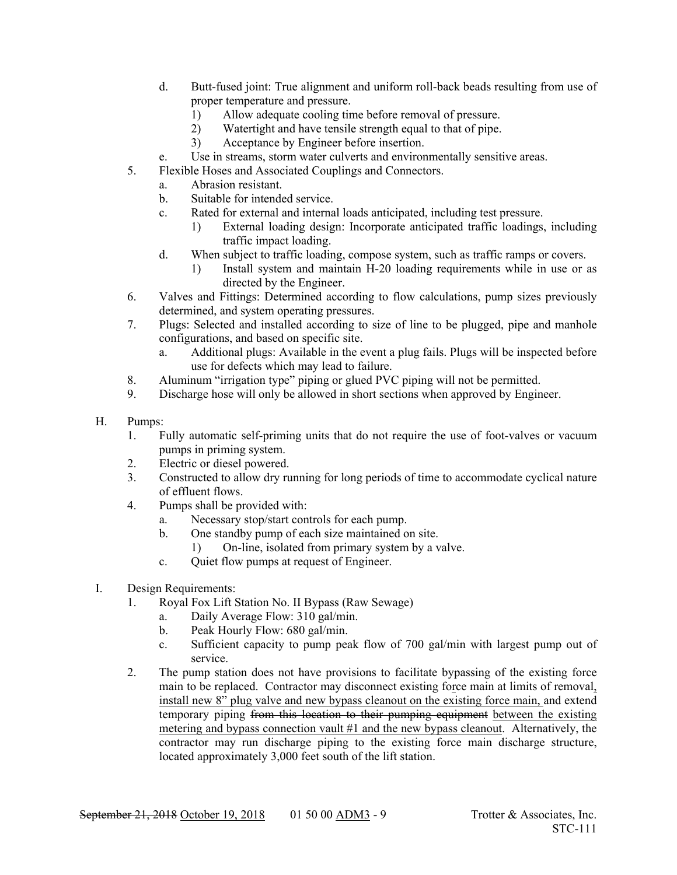- d. Butt-fused joint: True alignment and uniform roll-back beads resulting from use of proper temperature and pressure.
	- 1) Allow adequate cooling time before removal of pressure.
	- 2) Watertight and have tensile strength equal to that of pipe.
	- 3) Acceptance by Engineer before insertion.
- e. Use in streams, storm water culverts and environmentally sensitive areas.
- 5. Flexible Hoses and Associated Couplings and Connectors.
	- a. Abrasion resistant.
	- b. Suitable for intended service.
	- c. Rated for external and internal loads anticipated, including test pressure.
		- 1) External loading design: Incorporate anticipated traffic loadings, including traffic impact loading.
	- d. When subject to traffic loading, compose system, such as traffic ramps or covers.
		- 1) Install system and maintain H-20 loading requirements while in use or as directed by the Engineer.
- 6. Valves and Fittings: Determined according to flow calculations, pump sizes previously determined, and system operating pressures.
- 7. Plugs: Selected and installed according to size of line to be plugged, pipe and manhole configurations, and based on specific site.
	- a. Additional plugs: Available in the event a plug fails. Plugs will be inspected before use for defects which may lead to failure.
- 8. Aluminum "irrigation type" piping or glued PVC piping will not be permitted.
- 9. Discharge hose will only be allowed in short sections when approved by Engineer.
- H. Pumps:
	- 1. Fully automatic self-priming units that do not require the use of foot-valves or vacuum pumps in priming system.
	- 2. Electric or diesel powered.
	- 3. Constructed to allow dry running for long periods of time to accommodate cyclical nature of effluent flows.
	- 4. Pumps shall be provided with:
		- a. Necessary stop/start controls for each pump.
		- b. One standby pump of each size maintained on site.
			- 1) On-line, isolated from primary system by a valve.
		- c. Quiet flow pumps at request of Engineer.
- I. Design Requirements:
	- 1. Royal Fox Lift Station No. II Bypass (Raw Sewage)
		- a. Daily Average Flow: 310 gal/min.
		- b. Peak Hourly Flow: 680 gal/min.
		- c. Sufficient capacity to pump peak flow of 700 gal/min with largest pump out of service.
	- 2. The pump station does not have provisions to facilitate bypassing of the existing force main to be replaced. Contractor may disconnect existing force main at limits of removal, install new 8" plug valve and new bypass cleanout on the existing force main, and extend temporary piping from this location to their pumping equipment between the existing metering and bypass connection vault #1 and the new bypass cleanout. Alternatively, the contractor may run discharge piping to the existing force main discharge structure, located approximately 3,000 feet south of the lift station.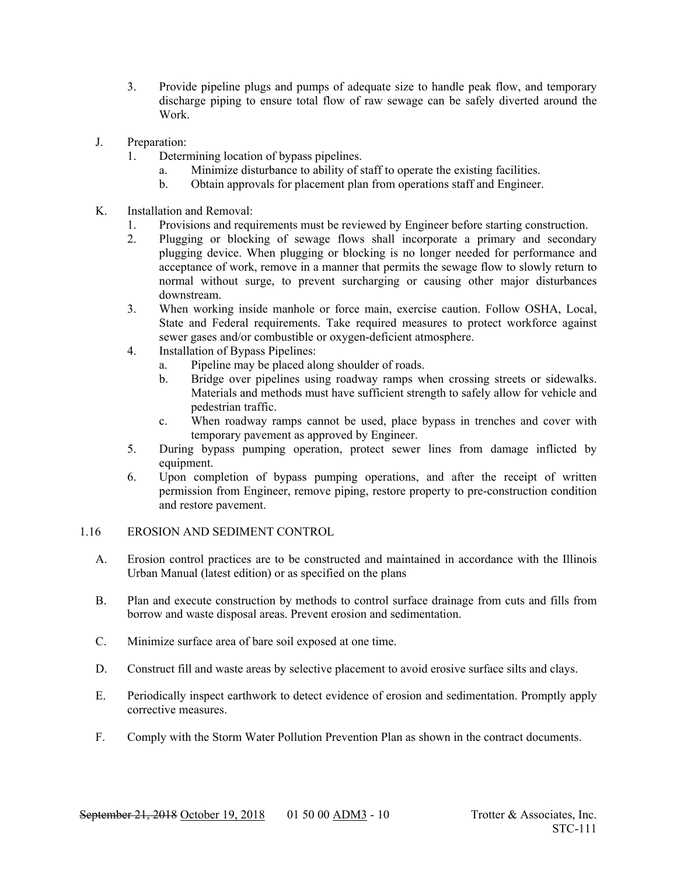- 3. Provide pipeline plugs and pumps of adequate size to handle peak flow, and temporary discharge piping to ensure total flow of raw sewage can be safely diverted around the Work.
- J. Preparation:
	- 1. Determining location of bypass pipelines.
		- a. Minimize disturbance to ability of staff to operate the existing facilities.
		- b. Obtain approvals for placement plan from operations staff and Engineer.
- K. Installation and Removal:
	- 1. Provisions and requirements must be reviewed by Engineer before starting construction.
	- 2. Plugging or blocking of sewage flows shall incorporate a primary and secondary plugging device. When plugging or blocking is no longer needed for performance and acceptance of work, remove in a manner that permits the sewage flow to slowly return to normal without surge, to prevent surcharging or causing other major disturbances downstream.
	- 3. When working inside manhole or force main, exercise caution. Follow OSHA, Local, State and Federal requirements. Take required measures to protect workforce against sewer gases and/or combustible or oxygen-deficient atmosphere.
	- 4. Installation of Bypass Pipelines:
		- a. Pipeline may be placed along shoulder of roads.
		- b. Bridge over pipelines using roadway ramps when crossing streets or sidewalks. Materials and methods must have sufficient strength to safely allow for vehicle and pedestrian traffic.
		- c. When roadway ramps cannot be used, place bypass in trenches and cover with temporary pavement as approved by Engineer.
	- 5. During bypass pumping operation, protect sewer lines from damage inflicted by equipment.
	- 6. Upon completion of bypass pumping operations, and after the receipt of written permission from Engineer, remove piping, restore property to pre-construction condition and restore pavement.

#### 1.16 EROSION AND SEDIMENT CONTROL

- A. Erosion control practices are to be constructed and maintained in accordance with the Illinois Urban Manual (latest edition) or as specified on the plans
- B. Plan and execute construction by methods to control surface drainage from cuts and fills from borrow and waste disposal areas. Prevent erosion and sedimentation.
- C. Minimize surface area of bare soil exposed at one time.
- D. Construct fill and waste areas by selective placement to avoid erosive surface silts and clays.
- E. Periodically inspect earthwork to detect evidence of erosion and sedimentation. Promptly apply corrective measures.
- F. Comply with the Storm Water Pollution Prevention Plan as shown in the contract documents.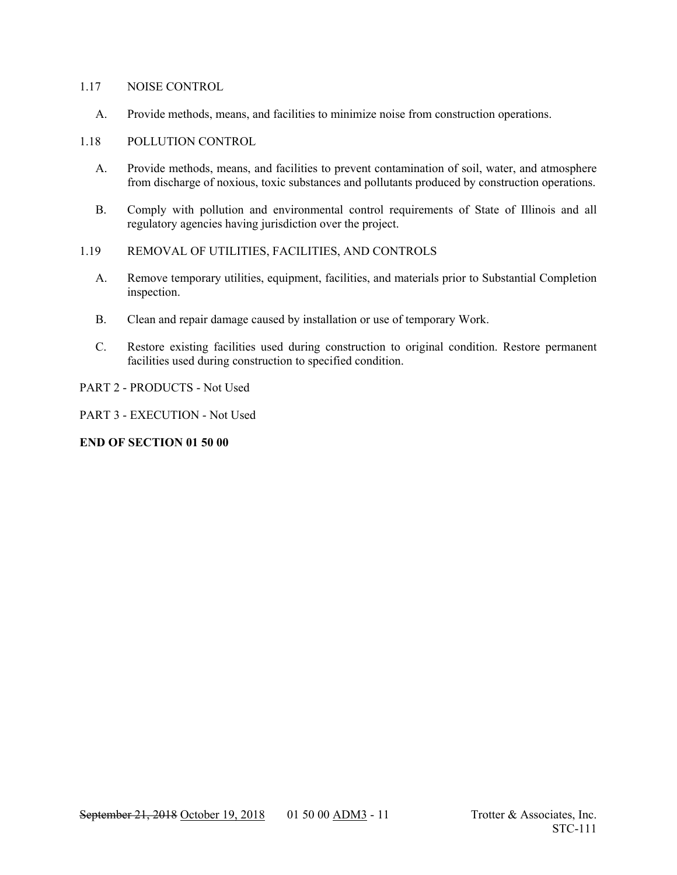#### 1.17 NOISE CONTROL

A. Provide methods, means, and facilities to minimize noise from construction operations.

#### 1.18 POLLUTION CONTROL

- A. Provide methods, means, and facilities to prevent contamination of soil, water, and atmosphere from discharge of noxious, toxic substances and pollutants produced by construction operations.
- B. Comply with pollution and environmental control requirements of State of Illinois and all regulatory agencies having jurisdiction over the project.
- 1.19 REMOVAL OF UTILITIES, FACILITIES, AND CONTROLS
	- A. Remove temporary utilities, equipment, facilities, and materials prior to Substantial Completion inspection.
	- B. Clean and repair damage caused by installation or use of temporary Work.
	- C. Restore existing facilities used during construction to original condition. Restore permanent facilities used during construction to specified condition.
- PART 2 PRODUCTS Not Used
- PART 3 EXECUTION Not Used

#### **END OF SECTION 01 50 00**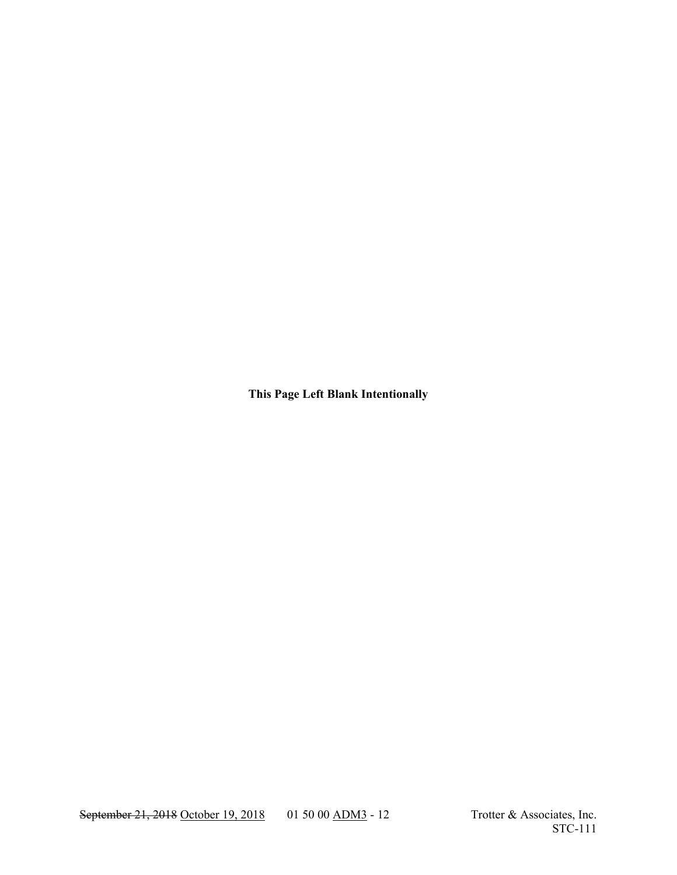**This Page Left Blank Intentionally**